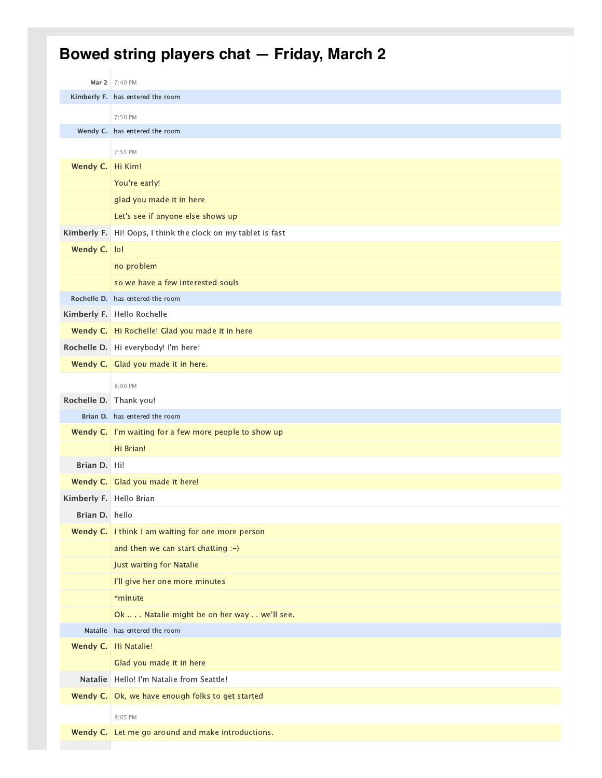## **Bowed string players chat — Friday, March 2**

|                         | Mar 2 7:40 PM                                                |
|-------------------------|--------------------------------------------------------------|
|                         | Kimberly F. has entered the room                             |
|                         | 7:50 PM                                                      |
|                         | Wendy C. has entered the room                                |
|                         | 7:55 PM                                                      |
| Wendy C. Hi Kim!        |                                                              |
|                         | You're early!                                                |
|                         | glad you made it in here                                     |
|                         | Let's see if anyone else shows up                            |
| Kimberly F.             | Hi! Oops, I think the clock on my tablet is fast             |
| Wendy C.   lol          |                                                              |
|                         | no problem                                                   |
|                         | so we have a few interested souls                            |
|                         | Rochelle D. has entered the room                             |
|                         | Kimberly F. Hello Rochelle                                   |
|                         | Wendy C.   Hi Rochelle! Glad you made it in here             |
|                         | Rochelle D. Hi everybody! I'm here!                          |
|                         | Wendy C. $\vert$ Glad you made it in here.                   |
|                         | 8:00 PM                                                      |
| Rochelle D.             | Thank you!                                                   |
|                         | Brian D. has entered the room                                |
|                         | <b>Wendy C.</b> I'm waiting for a few more people to show up |
|                         | Hi Brian!                                                    |
| Brian D.                | ∣Hi!                                                         |
|                         | Wendy C. Glad you made it here!                              |
| Kimberly F. Hello Brian |                                                              |
| Brian D. hello          |                                                              |
|                         | Wendy C.   I think I am waiting for one more person          |
|                         | and then we can start chatting :-)                           |
|                         | Just waiting for Natalie                                     |
|                         | I'll give her one more minutes                               |
|                         | *minute                                                      |
|                         | Ok  Natalie might be on her way  we'll see.                  |
|                         | Natalie has entered the room                                 |
|                         | Wendy C. Hi Natalie!                                         |
|                         | Glad you made it in here                                     |
| <b>Natalie</b>          | Hello! I'm Natalie from Seattle!                             |
| Wendy C.                | Ok, we have enough folks to get started                      |
|                         | 8:05 PM                                                      |
|                         | Wendy C. Let me go around and make introductions.            |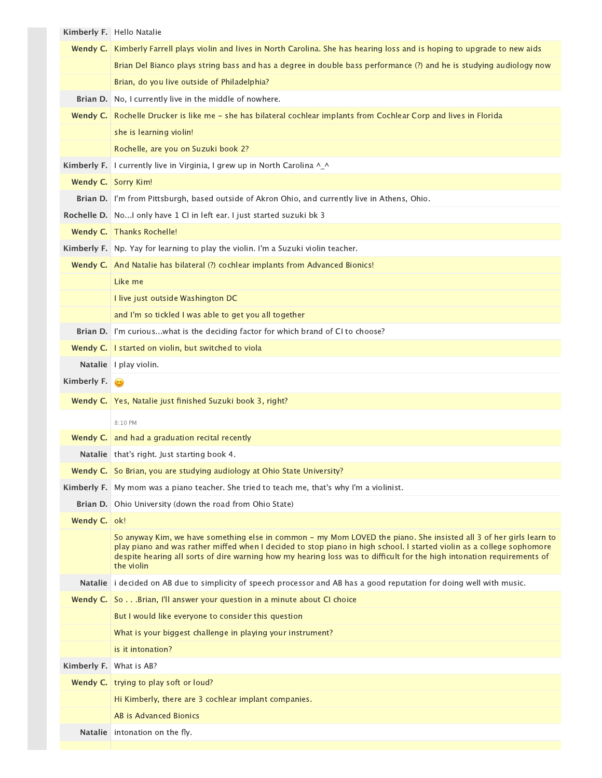|                | Kimberly F. Hello Natalie                                                                                                                                                                                                                                                                                                                                                           |
|----------------|-------------------------------------------------------------------------------------------------------------------------------------------------------------------------------------------------------------------------------------------------------------------------------------------------------------------------------------------------------------------------------------|
|                | Wendy C. Kimberly Farrell plays violin and lives in North Carolina. She has hearing loss and is hoping to upgrade to new aids                                                                                                                                                                                                                                                       |
|                | Brian Del Bianco plays string bass and has a degree in double bass performance (?) and he is studying audiology now                                                                                                                                                                                                                                                                 |
|                | Brian, do you live outside of Philadelphia?                                                                                                                                                                                                                                                                                                                                         |
| Brian D.       | No, I currently live in the middle of nowhere.                                                                                                                                                                                                                                                                                                                                      |
| Wendy C.       | Rochelle Drucker is like me - she has bilateral cochlear implants from Cochlear Corp and lives in Florida                                                                                                                                                                                                                                                                           |
|                | she is learning violin!                                                                                                                                                                                                                                                                                                                                                             |
|                | Rochelle, are you on Suzuki book 2?                                                                                                                                                                                                                                                                                                                                                 |
| Kimberly F.    | I currently live in Virginia, I grew up in North Carolina ^_^                                                                                                                                                                                                                                                                                                                       |
|                | Wendy C. Sorry Kim!                                                                                                                                                                                                                                                                                                                                                                 |
|                | Brian D.   I'm from Pittsburgh, based outside of Akron Ohio, and currently live in Athens, Ohio.                                                                                                                                                                                                                                                                                    |
| Rochelle D.    | NoI only have 1 CI in left ear. I just started suzuki bk 3                                                                                                                                                                                                                                                                                                                          |
|                | Wendy C. Thanks Rochelle!                                                                                                                                                                                                                                                                                                                                                           |
|                | Kimberly F.   Np. Yay for learning to play the violin. I'm a Suzuki violin teacher.                                                                                                                                                                                                                                                                                                 |
|                | Wendy C. And Natalie has bilateral (?) cochlear implants from Advanced Bionics!                                                                                                                                                                                                                                                                                                     |
|                | Like me                                                                                                                                                                                                                                                                                                                                                                             |
|                | I live just outside Washington DC                                                                                                                                                                                                                                                                                                                                                   |
|                | and I'm so tickled I was able to get you all together                                                                                                                                                                                                                                                                                                                               |
| Brian D.       | I'm curiouswhat is the deciding factor for which brand of CI to choose?                                                                                                                                                                                                                                                                                                             |
| Wendy C.       | I started on violin, but switched to viola                                                                                                                                                                                                                                                                                                                                          |
|                | Natalie   I play violin.                                                                                                                                                                                                                                                                                                                                                            |
| Kimberly F.    | ۵                                                                                                                                                                                                                                                                                                                                                                                   |
|                | Wendy C.   Yes, Natalie just finished Suzuki book 3, right?                                                                                                                                                                                                                                                                                                                         |
|                | 8:10 PM                                                                                                                                                                                                                                                                                                                                                                             |
|                | <b>Wendy C.</b> and had a graduation recital recently                                                                                                                                                                                                                                                                                                                               |
|                | Natalie   that's right. Just starting book 4.                                                                                                                                                                                                                                                                                                                                       |
|                | Wendy C. So Brian, you are studying audiology at Ohio State University?                                                                                                                                                                                                                                                                                                             |
| Kimberly F.    | My mom was a piano teacher. She tried to teach me, that's why I'm a violinist.                                                                                                                                                                                                                                                                                                      |
| Brian D.       | Ohio University (down the road from Ohio State)                                                                                                                                                                                                                                                                                                                                     |
| Wendy C.   ok! |                                                                                                                                                                                                                                                                                                                                                                                     |
|                | So anyway Kim, we have something else in common - my Mom LOVED the piano. She insisted all 3 of her girls learn to<br>play piano and was rather miffed when I decided to stop piano in high school. I started violin as a college sophomore<br>despite hearing all sorts of dire warning how my hearing loss was to difficult for the high intonation requirements of<br>the violin |
| <b>Natalie</b> | i decided on AB due to simplicity of speech processor and AB has a good reputation for doing well with music.                                                                                                                                                                                                                                                                       |
|                | Wendy C. SoBrian, I'll answer your question in a minute about CI choice                                                                                                                                                                                                                                                                                                             |
|                | But I would like everyone to consider this question                                                                                                                                                                                                                                                                                                                                 |
|                | What is your biggest challenge in playing your instrument?                                                                                                                                                                                                                                                                                                                          |
|                | is it intonation?                                                                                                                                                                                                                                                                                                                                                                   |
| Kimberly F.    | What is AB?                                                                                                                                                                                                                                                                                                                                                                         |
|                | Wendy C.   trying to play soft or loud?                                                                                                                                                                                                                                                                                                                                             |
|                | Hi Kimberly, there are 3 cochlear implant companies.                                                                                                                                                                                                                                                                                                                                |
|                | AB is Advanced Bionics                                                                                                                                                                                                                                                                                                                                                              |
| <b>Natalie</b> | intonation on the fly.                                                                                                                                                                                                                                                                                                                                                              |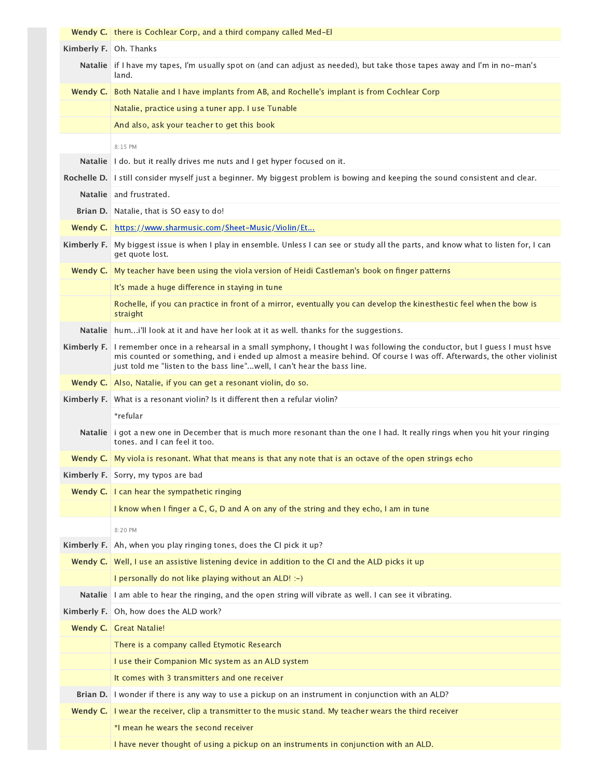|                        | <b>Wendy C.</b> there is Cochlear Corp, and a third company called Med-El                                                                                                                                                                                                                                                             |
|------------------------|---------------------------------------------------------------------------------------------------------------------------------------------------------------------------------------------------------------------------------------------------------------------------------------------------------------------------------------|
| Kimberly F. Oh. Thanks |                                                                                                                                                                                                                                                                                                                                       |
|                        | Natalie if I have my tapes, I'm usually spot on (and can adjust as needed), but take those tapes away and I'm in no-man's<br>land.                                                                                                                                                                                                    |
|                        | Wendy C. Both Natalie and I have implants from AB, and Rochelle's implant is from Cochlear Corp                                                                                                                                                                                                                                       |
|                        | Natalie, practice using a tuner app. I use Tunable                                                                                                                                                                                                                                                                                    |
|                        | And also, ask your teacher to get this book                                                                                                                                                                                                                                                                                           |
|                        | 8:15 PM                                                                                                                                                                                                                                                                                                                               |
|                        | Natalie   I do. but it really drives me nuts and I get hyper focused on it.                                                                                                                                                                                                                                                           |
|                        | Rochelle D. I still consider myself just a beginner. My biggest problem is bowing and keeping the sound consistent and clear.                                                                                                                                                                                                         |
| <b>Natalie</b>         | and frustrated.                                                                                                                                                                                                                                                                                                                       |
|                        | Brian D. Natalie, that is SO easy to do!                                                                                                                                                                                                                                                                                              |
| Wendy C.               | https://www.sharmusic.com/Sheet-Music/Violin/Et                                                                                                                                                                                                                                                                                       |
|                        | Kimberly F. My biggest issue is when I play in ensemble. Unless I can see or study all the parts, and know what to listen for, I can<br>get quote lost.                                                                                                                                                                               |
| Wendy C.               | My teacher have been using the viola version of Heidi Castleman's book on finger patterns                                                                                                                                                                                                                                             |
|                        | It's made a huge difference in staying in tune                                                                                                                                                                                                                                                                                        |
|                        | Rochelle, if you can practice in front of a mirror, eventually you can develop the kinesthestic feel when the bow is<br>straight                                                                                                                                                                                                      |
| <b>Natalie</b>         | humi'll look at it and have her look at it as well. thanks for the suggestions.                                                                                                                                                                                                                                                       |
|                        | Kimberly F. I remember once in a rehearsal in a small symphony, I thought I was following the conductor, but I guess I must hsve<br>mis counted or something, and i ended up almost a measire behind. Of course I was off. Afterwards, the other violinist<br>just told me "listen to the bass line"well, I can't hear the bass line. |
|                        | Wendy C.   Also, Natalie, if you can get a resonant violin, do so.                                                                                                                                                                                                                                                                    |
|                        | Kimberly F. What is a resonant violin? Is it different then a refular violin?                                                                                                                                                                                                                                                         |
|                        | *refular                                                                                                                                                                                                                                                                                                                              |
|                        | Natalie i got a new one in December that is much more resonant than the one I had. It really rings when you hit your ringing<br>tones, and I can feel it too.                                                                                                                                                                         |
|                        | Wendy C. My viola is resonant. What that means is that any note that is an octave of the open strings echo                                                                                                                                                                                                                            |
|                        | Kimberly F. Sorry, my typos are bad                                                                                                                                                                                                                                                                                                   |
|                        | Wendy C.   I can hear the sympathetic ringing                                                                                                                                                                                                                                                                                         |
|                        | I know when I finger a C, G, D and A on any of the string and they echo, I am in tune                                                                                                                                                                                                                                                 |
|                        | 8:20 PM                                                                                                                                                                                                                                                                                                                               |
| Kimberly F.            | Ah, when you play ringing tones, does the CI pick it up?                                                                                                                                                                                                                                                                              |
|                        | Wendy C. Well, I use an assistive listening device in addition to the CI and the ALD picks it up                                                                                                                                                                                                                                      |
|                        | I personally do not like playing without an ALD! :-)                                                                                                                                                                                                                                                                                  |
| <b>Natalie</b>         | I am able to hear the ringing, and the open string will vibrate as well. I can see it vibrating.                                                                                                                                                                                                                                      |
| Kimberly F.            | Oh, how does the ALD work?                                                                                                                                                                                                                                                                                                            |
|                        | <b>Wendy C.</b> Great Natalie!                                                                                                                                                                                                                                                                                                        |
|                        | There is a company called Etymotic Research                                                                                                                                                                                                                                                                                           |
|                        | I use their Companion MIc system as an ALD system                                                                                                                                                                                                                                                                                     |
|                        | It comes with 3 transmitters and one receiver                                                                                                                                                                                                                                                                                         |
| Brian D.               | I wonder if there is any way to use a pickup on an instrument in conjunction with an ALD?                                                                                                                                                                                                                                             |
| Wendy C.               | I wear the receiver, clip a transmitter to the music stand. My teacher wears the third receiver                                                                                                                                                                                                                                       |
|                        | *I mean he wears the second receiver                                                                                                                                                                                                                                                                                                  |
|                        | I have never thought of using a pickup on an instruments in conjunction with an ALD.                                                                                                                                                                                                                                                  |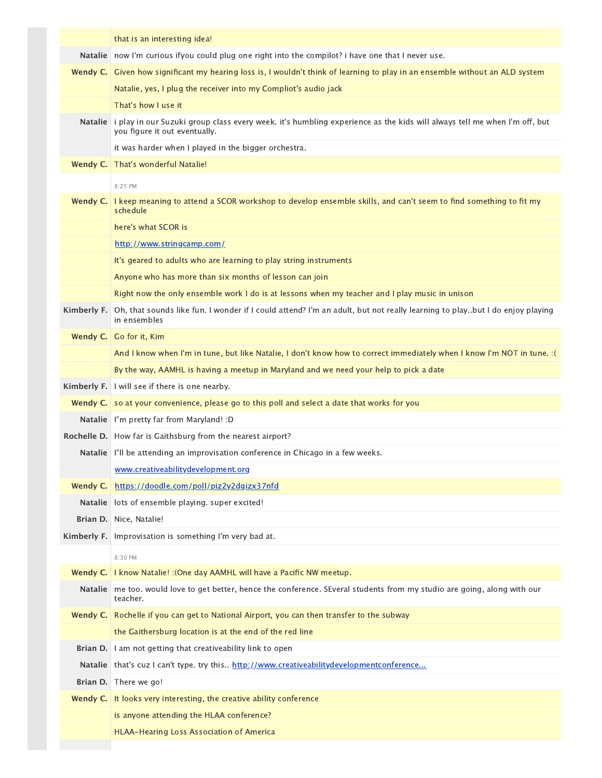|                | that is an interesting idea!                                                                                                                             |
|----------------|----------------------------------------------------------------------------------------------------------------------------------------------------------|
| <b>Natalie</b> | now I'm curious ifyou could plug one right into the compilot? i have one that I never use.                                                               |
|                | Wendy C. Given how significant my hearing loss is, I wouldn't think of learning to play in an ensemble without an ALD system                             |
|                | Natalie, yes, I plug the receiver into my Compliot's audio jack                                                                                          |
|                | That's how I use it                                                                                                                                      |
| <b>Natalie</b> | i play in our Suzuki group class every week. it's humbling experience as the kids will always tell me when I'm off, but<br>you figure it out eventually. |
|                | it was harder when I played in the bigger orchestra.                                                                                                     |
| Wendy C.       | That's wonderful Natalie!                                                                                                                                |
|                | 8:25 PM                                                                                                                                                  |
| Wendy C.       | I keep meaning to attend a SCOR workshop to develop ensemble skills, and can't seem to find something to fit my<br>schedule                              |
|                | here's what SCOR is                                                                                                                                      |
|                | http://www.stringcamp.com/                                                                                                                               |
|                | It's geared to adults who are learning to play string instruments                                                                                        |
|                | Anyone who has more than six months of lesson can join                                                                                                   |
|                | Right now the only ensemble work I do is at lessons when my teacher and I play music in unison                                                           |
| Kimberly F.    | Oh, that sounds like fun. I wonder if I could attend? I'm an adult, but not really learning to playbut I do enjoy playing<br>in ensembles                |
|                | Wendy C. Go for it, Kim                                                                                                                                  |
|                | And I know when I'm in tune, but like Natalie, I don't know how to correct immediately when I know I'm NOT in tune. : (                                  |
|                | By the way, AAMHL is having a meetup in Maryland and we need your help to pick a date                                                                    |
| Kimberly F.    | I will see if there is one nearby.                                                                                                                       |
|                | <b>Wendy C.</b> so at your convenience, please go to this poll and select a date that works for you                                                      |
|                | Natalie I'm pretty far from Maryland! : D                                                                                                                |
|                | Rochelle D.   How far is Gaithsburg from the nearest airport?                                                                                            |
|                | Natalie   I'll be attending an improvisation conference in Chicago in a few weeks.                                                                       |
|                | www.creativeabilitydevelopment.org                                                                                                                       |
| Wendy $C.$     | https://doodle.com/poll/piz2y2dgizx37nfd                                                                                                                 |
|                | Natalie   lots of ensemble playing. super excited!                                                                                                       |
|                | Brian D. Nice, Natalie!                                                                                                                                  |
| Kimberly F.    | Improvisation is something I'm very bad at.                                                                                                              |
|                | 8:30 PM                                                                                                                                                  |
| Wendy C.       | I know Natalie! : (One day AAMHL will have a Pacific NW meetup.                                                                                          |
| <b>Natalie</b> | me too. would love to get better, hence the conference. SEveral students from my studio are going, along with our<br>teacher.                            |
|                | Wendy C. Rochelle if you can get to National Airport, you can then transfer to the subway                                                                |
|                | the Gaithersburg location is at the end of the red line                                                                                                  |
|                | Brian D.   I am not getting that creativeability link to open                                                                                            |
| <b>Natalie</b> | that's cuz I can't type. try this http://www.creativeabilitydevelopmentconference                                                                        |
|                | Brian D. There we go!                                                                                                                                    |
|                | <b>Wendy C.</b> It looks very interesting, the creative ability conference                                                                               |
|                | is anyone attending the HLAA conference?                                                                                                                 |
|                | HLAA-Hearing Loss Association of America                                                                                                                 |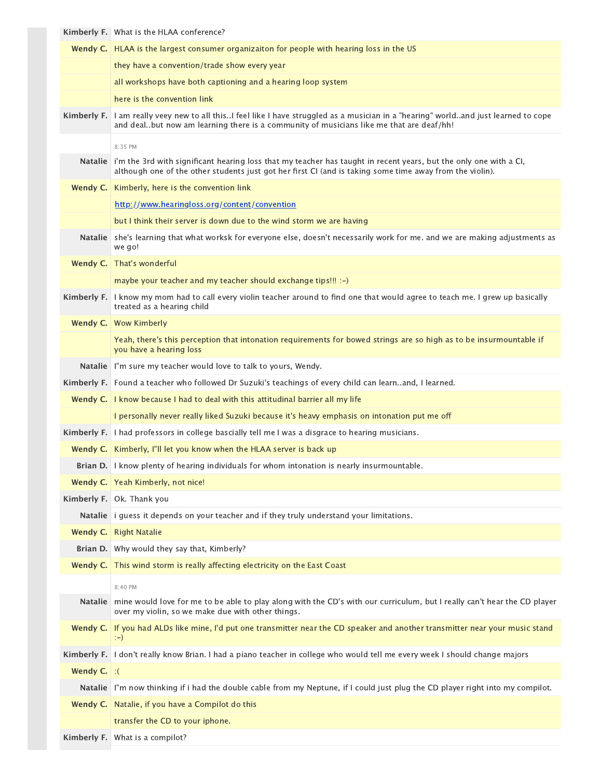|                | <b>Kimberly F.</b> What is the HLAA conference?                                                                                                                                                                               |
|----------------|-------------------------------------------------------------------------------------------------------------------------------------------------------------------------------------------------------------------------------|
|                | Wendy C.   HLAA is the largest consumer organizaiton for people with hearing loss in the US                                                                                                                                   |
|                | they have a convention/trade show every year                                                                                                                                                                                  |
|                | all workshops have both captioning and a hearing loop system                                                                                                                                                                  |
|                | here is the convention link                                                                                                                                                                                                   |
| Kimberly F.    | I am really veey new to all thisI feel like I have struggled as a musician in a "hearing" worldand just learned to cope<br>and dealbut now am learning there is a community of musicians like me that are deaf/hh!            |
|                | 8:35 PM                                                                                                                                                                                                                       |
| <b>Natalie</b> | i'm the 3rd with significant hearing loss that my teacher has taught in recent years, but the only one with a CI,<br>although one of the other students just got her first CI (and is taking some time away from the violin). |
| Wendy C.       | Kimberly, here is the convention link                                                                                                                                                                                         |
|                | http://www.hearingloss.org/content/convention                                                                                                                                                                                 |
|                | but I think their server is down due to the wind storm we are having                                                                                                                                                          |
| <b>Natalie</b> | she's learning that what worksk for everyone else, doesn't necessarily work for me. and we are making adjustments as<br>we go!                                                                                                |
|                | Wendy C. That's wonderful                                                                                                                                                                                                     |
|                | maybe your teacher and my teacher should exchange tips!!! :-)                                                                                                                                                                 |
| Kimberly F.    | I know my mom had to call every violin teacher around to find one that would agree to teach me. I grew up basically<br>treated as a hearing child                                                                             |
|                | Wendy C. Wow Kimberly                                                                                                                                                                                                         |
|                | Yeah, there's this perception that intonation requirements for bowed strings are so high as to be insurmountable if<br>you have a hearing loss                                                                                |
|                | Natalie   I'm sure my teacher would love to talk to yours, Wendy.                                                                                                                                                             |
|                | Kimberly F. Found a teacher who followed Dr Suzuki's teachings of every child can learnand, I learned.                                                                                                                        |
|                | Wendy C.   I know because I had to deal with this attitudinal barrier all my life                                                                                                                                             |
|                | I personally never really liked Suzuki because it's heavy emphasis on intonation put me off                                                                                                                                   |
| Kimberly F.    | I had professors in college bascially tell me I was a disgrace to hearing musicians.                                                                                                                                          |
|                | <b>Wendy C.</b> Kimberly, I'll let you know when the HLAA server is back up                                                                                                                                                   |
|                | Brian D.   I know plenty of hearing individuals for whom intonation is nearly insurmountable.                                                                                                                                 |
|                | Wendy C.   Yeah Kimberly, not nice!                                                                                                                                                                                           |
|                | Kimberly F.   Ok. Thank you                                                                                                                                                                                                   |
| <b>Natalie</b> | i guess it depends on your teacher and if they truly understand your limitations.                                                                                                                                             |
| Wendy C.       | <b>Right Natalie</b>                                                                                                                                                                                                          |
|                | Brian D. Why would they say that, Kimberly?                                                                                                                                                                                   |
|                | <b>Wendy C.</b> This wind storm is really affecting electricity on the East Coast                                                                                                                                             |
|                | 8:40 PM                                                                                                                                                                                                                       |
| <b>Natalie</b> | mine would love for me to be able to play along with the CD's with our curriculum, but I really can't hear the CD player<br>over my violin, so we make due with other things.                                                 |
|                | Wendy C.   If you had ALDs like mine, I'd put one transmitter near the CD speaker and another transmitter near your music stand<br>$(-)$                                                                                      |
|                | Kimberly F. I don't really know Brian. I had a piano teacher in college who would tell me every week I should change majors                                                                                                   |
| Wendy C.       | $\cdot$ (                                                                                                                                                                                                                     |
|                | Natalie I'm now thinking if i had the double cable from my Neptune, if I could just plug the CD player right into my compilot.                                                                                                |
| Wendy C.       | Natalie, if you have a Compilot do this                                                                                                                                                                                       |
|                | transfer the CD to your iphone.                                                                                                                                                                                               |
|                | Kimberly F. What is a compilot?                                                                                                                                                                                               |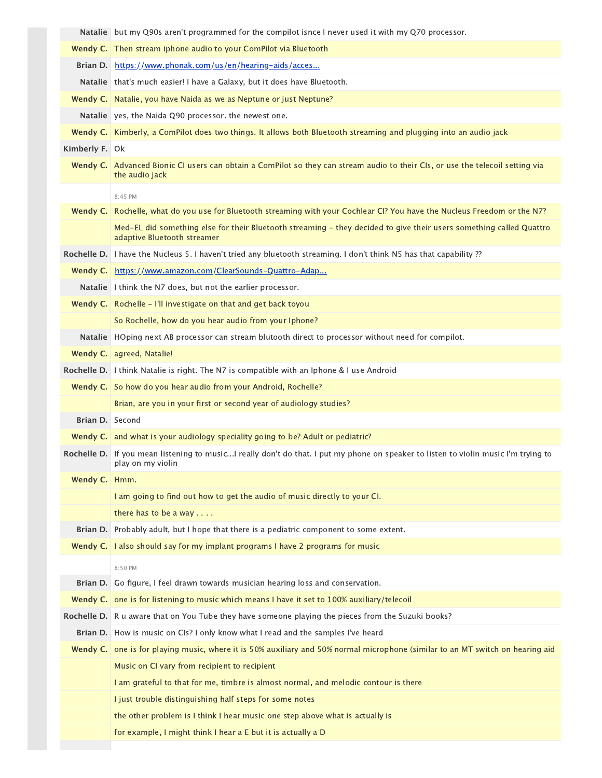|                 | Natalie but my Q90s aren't programmed for the compilot isnce I never used it with my Q70 processor.                                                      |
|-----------------|----------------------------------------------------------------------------------------------------------------------------------------------------------|
|                 | <b>Wendy C.</b> Then stream iphone audio to your ComPilot via Bluetooth                                                                                  |
| Brian D.        | https://www.phonak.com/us/en/hearing-aids/acces                                                                                                          |
|                 | Natalie   that's much easier! I have a Galaxy, but it does have Bluetooth.                                                                               |
| Wendy C.        | Natalie, you have Naida as we as Neptune or just Neptune?                                                                                                |
|                 | Natalie   yes, the Naida Q90 processor. the newest one.                                                                                                  |
|                 | Wendy C. Kimberly, a ComPilot does two things. It allows both Bluetooth streaming and plugging into an audio jack                                        |
| Kimberly F. Ok  |                                                                                                                                                          |
|                 | Wendy C. Advanced Bionic CI users can obtain a ComPilot so they can stream audio to their CIs, or use the telecoil setting via                           |
|                 | the audio jack                                                                                                                                           |
|                 | 8:45 PM                                                                                                                                                  |
| Wendy C.        | Rochelle, what do you use for Bluetooth streaming with your Cochlear CI? You have the Nucleus Freedom or the N7?                                         |
|                 | Med-EL did something else for their Bluetooth streaming - they decided to give their users something called Quattro<br>adaptive Bluetooth streamer       |
|                 | Rochelle D.   I have the Nucleus 5. I haven't tried any bluetooth streaming. I don't think N5 has that capability?                                       |
| Wendy C.        | https://www.amazon.com/ClearSounds-Quattro-Adap                                                                                                          |
|                 | Natalie   I think the N7 does, but not the earlier processor.                                                                                            |
| Wendy $C.$      | Rochelle - I'll investigate on that and get back toyou                                                                                                   |
|                 | So Rochelle, how do you hear audio from your Iphone?                                                                                                     |
| <b>Natalie</b>  | HOping next AB processor can stream blutooth direct to processor without need for compilot.                                                              |
| Wendy C.        | agreed, Natalie!                                                                                                                                         |
|                 | Rochelle D.   I think Natalie is right. The N7 is compatible with an Iphone & I use Android                                                              |
| Wendy C.        | So how do you hear audio from your Android, Rochelle?                                                                                                    |
|                 | Brian, are you in your first or second year of audiology studies?                                                                                        |
| Brian D. Second |                                                                                                                                                          |
|                 | <b>Wendy C.</b> and what is your audiology speciality going to be? Adult or pediatric?                                                                   |
|                 | Rochelle D. If you mean listening to musicI really don't do that. I put my phone on speaker to listen to violin music I'm trying to<br>play on my violin |
| Wendy C.        | Hmm.                                                                                                                                                     |
|                 | I am going to find out how to get the audio of music directly to your CI.                                                                                |
|                 | there has to be a way . $\dots$                                                                                                                          |
| Brian D.        | Probably adult, but I hope that there is a pediatric component to some extent.                                                                           |
| Wendy C.        | I also should say for my implant programs I have 2 programs for music                                                                                    |
|                 | 8:50 PM                                                                                                                                                  |
| Brian D.        | Go figure, I feel drawn towards musician hearing loss and conservation.                                                                                  |
| Wendy C.        | one is for listening to music which means I have it set to 100% auxiliary/telecoil                                                                       |
| Rochelle D.     | R u aware that on You Tube they have someone playing the pieces from the Suzuki books?                                                                   |
|                 | Brian D. How is music on Cls? I only know what I read and the samples I've heard                                                                         |
| Wendy C.        | one is for playing music, where it is 50% auxiliary and 50% normal microphone (similar to an MT switch on hearing aid                                    |
|                 | Music on CI vary from recipient to recipient                                                                                                             |
|                 | I am grateful to that for me, timbre is almost normal, and melodic contour is there                                                                      |
|                 | I just trouble distinguishing half steps for some notes                                                                                                  |
|                 | the other problem is I think I hear music one step above what is actually is                                                                             |
|                 | for example, I might think I hear a E but it is actually a D                                                                                             |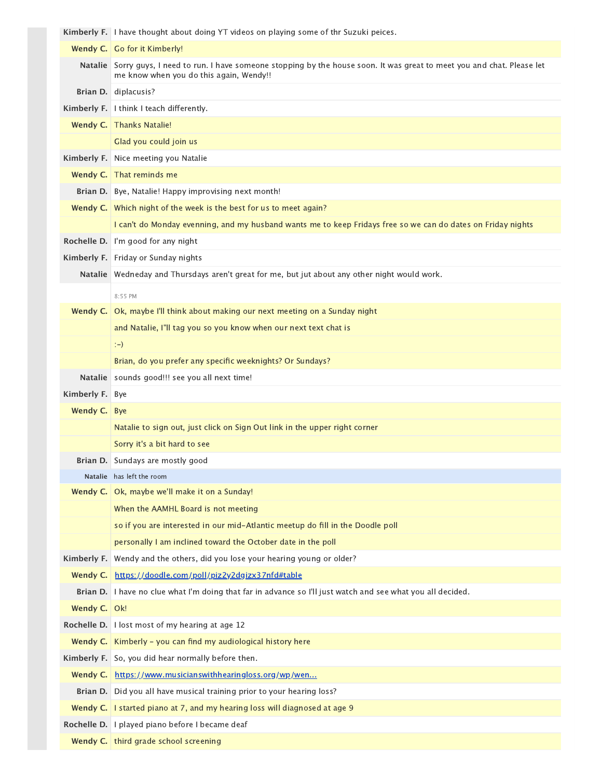|                | Kimberly F.   I have thought about doing YT videos on playing some of thr Suzuki peices.                                                                               |
|----------------|------------------------------------------------------------------------------------------------------------------------------------------------------------------------|
|                | Wendy C.   Go for it Kimberly!                                                                                                                                         |
|                | Natalie Sorry guys, I need to run. I have someone stopping by the house soon. It was great to meet you and chat. Please let<br>me know when you do this again, Wendy!! |
|                | Brian D. diplacusis?                                                                                                                                                   |
|                | Kimberly F.   I think I teach differently.                                                                                                                             |
| Wendy C.       | Thanks Natalie!                                                                                                                                                        |
|                | Glad you could join us                                                                                                                                                 |
| Kimberly F.    | Nice meeting you Natalie                                                                                                                                               |
|                | Wendy C. That reminds me                                                                                                                                               |
|                | Brian D. Bye, Natalie! Happy improvising next month!                                                                                                                   |
|                | <b>Wendy C.</b> Which night of the week is the best for us to meet again?                                                                                              |
|                | I can't do Monday evenning, and my husband wants me to keep Fridays free so we can do dates on Friday nights                                                           |
| Rochelle D.    | I'm good for any night                                                                                                                                                 |
|                | Kimberly F. Friday or Sunday nights                                                                                                                                    |
|                | Natalie Wedneday and Thursdays aren't great for me, but jut about any other night would work.                                                                          |
|                | 8:55 PM                                                                                                                                                                |
| Wendy C.       | Ok, maybe I'll think about making our next meeting on a Sunday night                                                                                                   |
|                | and Natalie, I'll tag you so you know when our next text chat is                                                                                                       |
|                | $(-)$                                                                                                                                                                  |
|                | Brian, do you prefer any specific weeknights? Or Sundays?                                                                                                              |
| <b>Natalie</b> | sounds good!!! see you all next time!                                                                                                                                  |
| Kimberly F.    | Bye                                                                                                                                                                    |
| Wendy C.       | <b>Bye</b>                                                                                                                                                             |
|                | Natalie to sign out, just click on Sign Out link in the upper right corner                                                                                             |
|                | Sorry it's a bit hard to see                                                                                                                                           |
|                | Brian D. Sundays are mostly good                                                                                                                                       |
|                | Natalie has left the room                                                                                                                                              |
| Wendy C.       | Ok, maybe we'll make it on a Sunday!                                                                                                                                   |
|                | When the AAMHL Board is not meeting                                                                                                                                    |
|                | so if you are interested in our mid-Atlantic meetup do fill in the Doodle poll                                                                                         |
|                | personally I am inclined toward the October date in the poll                                                                                                           |
| Kimberly F.    | Wendy and the others, did you lose your hearing young or older?                                                                                                        |
| Wendy C.       | https://doodle.com/poll/piz2y2dgizx37nfd#table                                                                                                                         |
|                | Brian D. I have no clue what I'm doing that far in advance so I'll just watch and see what you all decided.                                                            |
| Wendy C.       | Ok!                                                                                                                                                                    |
|                | Rochelle D.   I lost most of my hearing at age 12                                                                                                                      |
|                | <b>Wendy C.</b> Kimberly - you can find my audiological history here                                                                                                   |
|                | Kimberly F. So, you did hear normally before then.                                                                                                                     |
| Wendy C.       | https://www.musicianswithhearingloss.org/wp/wen                                                                                                                        |
|                | Brian D. Did you all have musical training prior to your hearing loss?                                                                                                 |
| Wendy C.       |                                                                                                                                                                        |
|                | I started piano at 7, and my hearing loss will diagnosed at age 9                                                                                                      |
|                | Rochelle D.   I played piano before I became deaf<br>Wendy C.   third grade school screening                                                                           |